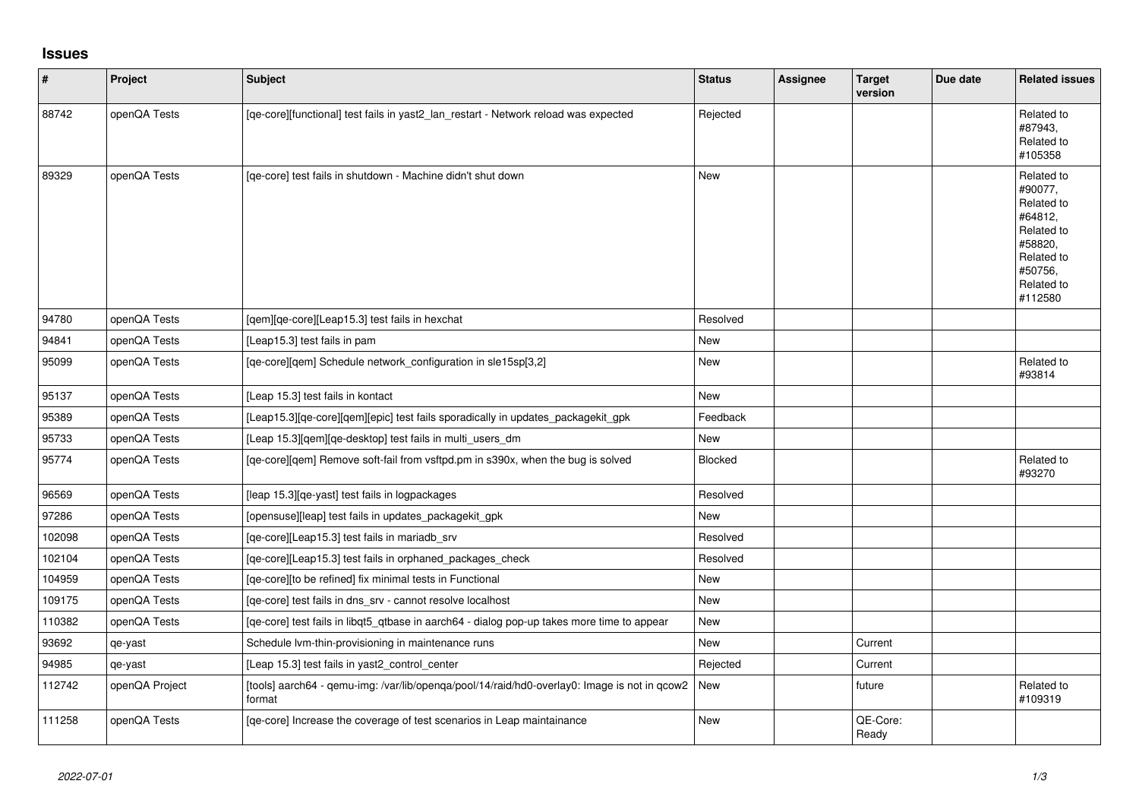## **Issues**

| #      | Project        | Subject                                                                                                      | <b>Status</b> | Assignee | <b>Target</b><br>version | Due date | <b>Related issues</b>                                                                                                     |
|--------|----------------|--------------------------------------------------------------------------------------------------------------|---------------|----------|--------------------------|----------|---------------------------------------------------------------------------------------------------------------------------|
| 88742  | openQA Tests   | [qe-core][functional] test fails in yast2_lan_restart - Network reload was expected                          | Rejected      |          |                          |          | Related to<br>#87943,<br>Related to<br>#105358                                                                            |
| 89329  | openQA Tests   | [qe-core] test fails in shutdown - Machine didn't shut down                                                  | <b>New</b>    |          |                          |          | Related to<br>#90077,<br>Related to<br>#64812,<br>Related to<br>#58820,<br>Related to<br>#50756,<br>Related to<br>#112580 |
| 94780  | openQA Tests   | [qem][qe-core][Leap15.3] test fails in hexchat                                                               | Resolved      |          |                          |          |                                                                                                                           |
| 94841  | openQA Tests   | [Leap15.3] test fails in pam                                                                                 | New           |          |                          |          |                                                                                                                           |
| 95099  | openQA Tests   | [qe-core][qem] Schedule network_configuration in sle15sp[3,2]                                                | New           |          |                          |          | Related to<br>#93814                                                                                                      |
| 95137  | openQA Tests   | [Leap 15.3] test fails in kontact                                                                            | <b>New</b>    |          |                          |          |                                                                                                                           |
| 95389  | openQA Tests   | [Leap15.3][qe-core][qem][epic] test fails sporadically in updates_packagekit_gpk                             | Feedback      |          |                          |          |                                                                                                                           |
| 95733  | openQA Tests   | [Leap 15.3][qem][qe-desktop] test fails in multi_users_dm                                                    | New           |          |                          |          |                                                                                                                           |
| 95774  | openQA Tests   | [qe-core][qem] Remove soft-fail from vsftpd.pm in s390x, when the bug is solved                              | Blocked       |          |                          |          | Related to<br>#93270                                                                                                      |
| 96569  | openQA Tests   | [leap 15.3][qe-yast] test fails in logpackages                                                               | Resolved      |          |                          |          |                                                                                                                           |
| 97286  | openQA Tests   | [opensuse][leap] test fails in updates_packagekit_gpk                                                        | New           |          |                          |          |                                                                                                                           |
| 102098 | openQA Tests   | [qe-core][Leap15.3] test fails in mariadb_srv                                                                | Resolved      |          |                          |          |                                                                                                                           |
| 102104 | openQA Tests   | [qe-core][Leap15.3] test fails in orphaned_packages_check                                                    | Resolved      |          |                          |          |                                                                                                                           |
| 104959 | openQA Tests   | [qe-core][to be refined] fix minimal tests in Functional                                                     | New           |          |                          |          |                                                                                                                           |
| 109175 | openQA Tests   | [qe-core] test fails in dns_srv - cannot resolve localhost                                                   | New           |          |                          |          |                                                                                                                           |
| 110382 | openQA Tests   | [qe-core] test fails in libqt5_qtbase in aarch64 - dialog pop-up takes more time to appear                   | New           |          |                          |          |                                                                                                                           |
| 93692  | qe-yast        | Schedule Ivm-thin-provisioning in maintenance runs                                                           | New           |          | Current                  |          |                                                                                                                           |
| 94985  | qe-yast        | [Leap 15.3] test fails in yast2 control center                                                               | Rejected      |          | Current                  |          |                                                                                                                           |
| 112742 | openQA Project | [tools] aarch64 - qemu-img: /var/lib/openqa/pool/14/raid/hd0-overlay0: Image is not in qcow2   New<br>format |               |          | future                   |          | Related to<br>#109319                                                                                                     |
| 111258 | openQA Tests   | [qe-core] Increase the coverage of test scenarios in Leap maintainance                                       | New           |          | QE-Core:<br>Ready        |          |                                                                                                                           |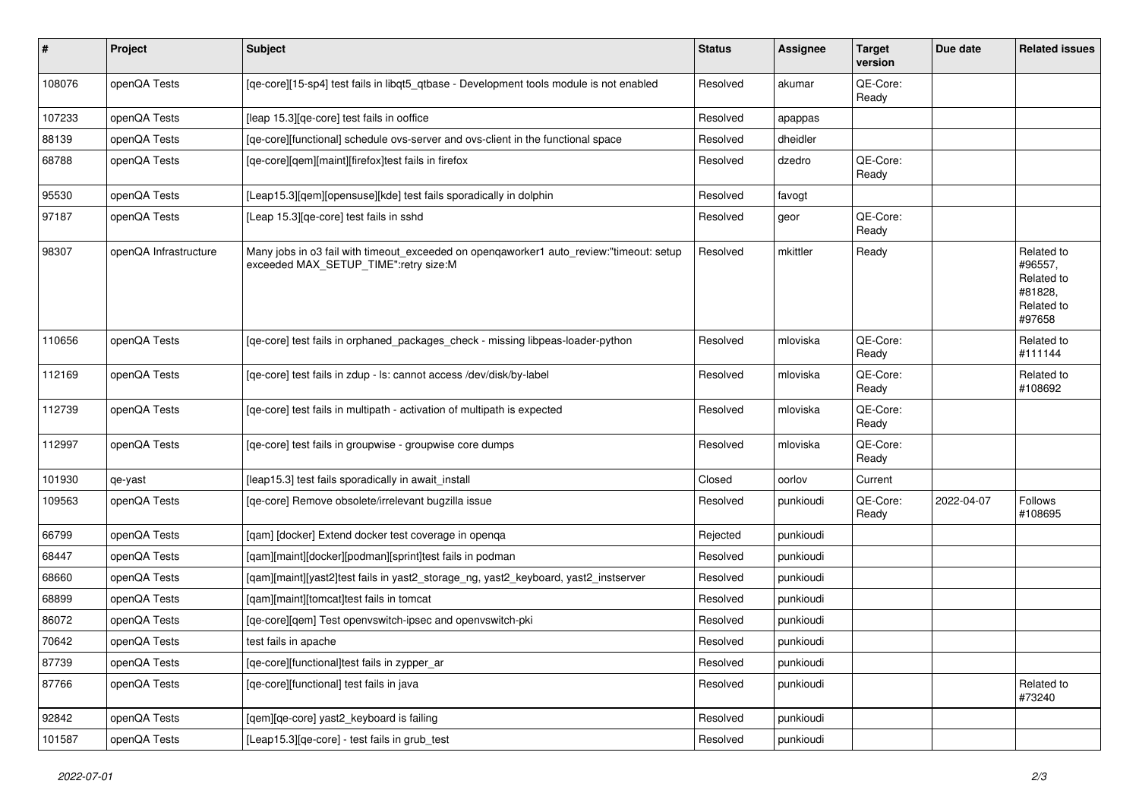| #      | Project               | <b>Subject</b>                                                                                                                   | <b>Status</b> | <b>Assignee</b> | <b>Target</b><br>version | Due date   | <b>Related issues</b>                                                  |
|--------|-----------------------|----------------------------------------------------------------------------------------------------------------------------------|---------------|-----------------|--------------------------|------------|------------------------------------------------------------------------|
| 108076 | openQA Tests          | [qe-core][15-sp4] test fails in libqt5_qtbase - Development tools module is not enabled                                          | Resolved      | akumar          | QE-Core:<br>Ready        |            |                                                                        |
| 107233 | openQA Tests          | [leap 15.3][qe-core] test fails in ooffice                                                                                       | Resolved      | apappas         |                          |            |                                                                        |
| 88139  | openQA Tests          | [qe-core][functional] schedule ovs-server and ovs-client in the functional space                                                 | Resolved      | dheidler        |                          |            |                                                                        |
| 68788  | openQA Tests          | [qe-core][qem][maint][firefox]test fails in firefox                                                                              | Resolved      | dzedro          | QE-Core:<br>Ready        |            |                                                                        |
| 95530  | openQA Tests          | [Leap15.3][qem][opensuse][kde] test fails sporadically in dolphin                                                                | Resolved      | favogt          |                          |            |                                                                        |
| 97187  | openQA Tests          | [Leap 15.3][qe-core] test fails in sshd                                                                                          | Resolved      | geor            | QE-Core:<br>Ready        |            |                                                                        |
| 98307  | openQA Infrastructure | Many jobs in o3 fail with timeout_exceeded on openqaworker1 auto_review:"timeout: setup<br>exceeded MAX_SETUP_TIME":retry size:M | Resolved      | mkittler        | Ready                    |            | Related to<br>#96557,<br>Related to<br>#81828,<br>Related to<br>#97658 |
| 110656 | openQA Tests          | [qe-core] test fails in orphaned_packages_check - missing libpeas-loader-python                                                  | Resolved      | mloviska        | QE-Core:<br>Ready        |            | Related to<br>#111144                                                  |
| 112169 | openQA Tests          | [qe-core] test fails in zdup - ls: cannot access /dev/disk/by-label                                                              | Resolved      | mloviska        | QE-Core:<br>Ready        |            | Related to<br>#108692                                                  |
| 112739 | openQA Tests          | [qe-core] test fails in multipath - activation of multipath is expected                                                          | Resolved      | mloviska        | QE-Core:<br>Ready        |            |                                                                        |
| 112997 | openQA Tests          | [qe-core] test fails in groupwise - groupwise core dumps                                                                         | Resolved      | mloviska        | QE-Core:<br>Ready        |            |                                                                        |
| 101930 | qe-yast               | [leap15.3] test fails sporadically in await_install                                                                              | Closed        | oorlov          | Current                  |            |                                                                        |
| 109563 | openQA Tests          | [qe-core] Remove obsolete/irrelevant bugzilla issue                                                                              | Resolved      | punkioudi       | QE-Core:<br>Ready        | 2022-04-07 | Follows<br>#108695                                                     |
| 66799  | openQA Tests          | [qam] [docker] Extend docker test coverage in openqa                                                                             | Rejected      | punkioudi       |                          |            |                                                                        |
| 68447  | openQA Tests          | [qam][maint][docker][podman][sprint]test fails in podman                                                                         | Resolved      | punkioudi       |                          |            |                                                                        |
| 68660  | openQA Tests          | [gam][maint][yast2]test fails in yast2_storage_ng, yast2_keyboard, yast2_instserver                                              | Resolved      | punkioudi       |                          |            |                                                                        |
| 68899  | openQA Tests          | [qam][maint][tomcat]test fails in tomcat                                                                                         | Resolved      | punkioudi       |                          |            |                                                                        |
| 86072  | openQA Tests          | [qe-core][qem] Test openvswitch-ipsec and openvswitch-pki                                                                        | Resolved      | punkioudi       |                          |            |                                                                        |
| 70642  | openQA Tests          | test fails in apache                                                                                                             | Resolved      | punkioudi       |                          |            |                                                                        |
| 87739  | openQA Tests          | [ge-core][functional]test fails in zypper ar                                                                                     | Resolved      | punkioudi       |                          |            |                                                                        |
| 87766  | openQA Tests          | [qe-core][functional] test fails in java                                                                                         | Resolved      | punkioudi       |                          |            | Related to<br>#73240                                                   |
| 92842  | openQA Tests          | [qem][qe-core] yast2_keyboard is failing                                                                                         | Resolved      | punkioudi       |                          |            |                                                                        |
| 101587 | openQA Tests          | [Leap15.3][qe-core] - test fails in grub_test                                                                                    | Resolved      | punkioudi       |                          |            |                                                                        |